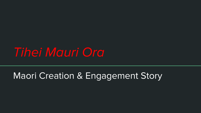# *Tihei Mauri Ora*

# Maori Creation & Engagement Story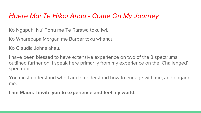## *Haere Mai Te Hikoi Ahau - Come On My Journey*

Ko Ngapuhi Nui Tonu me Te Rarawa toku iwi.

Ko Wharepapa Morgan me Barber toku whanau.

Ko Claudia Johns ahau.

I have been blessed to have extensive experience on two of the 3 spectrums outlined further on. I speak here primarily from my experience on the 'Challenged' spectrum.

You must understand who I am to understand how to engage with me, and engage me.

**I am Maori. I invite you to experience and feel my world.**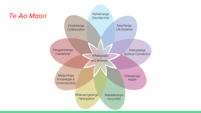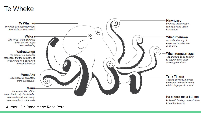## **Te Wheke**



Author - Dr. Rangimarie Rose Pere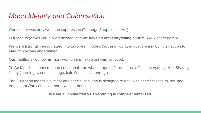## *Maori Identity and Colonisation*

Our culture was outlawed and suppressed (Tohunga Suppression Act).

Our language was virtually eradicated, and **we have an oral storytelling culture**. We want to korero.

We were (strongly) encouraged into European models (housing, work, education) and our connection to Maoritanga was undermined.

Our traditional identity as men, women and takatapui was removed.

Te Ao Maori is connected and communal, and what happens for one area affects everything else. Sharing is key (learning, wisdom, tikanga, kai). We all have enough.

The European model is nuclear and specialised, and is designed to deal with specifics (health, housing, education) One can have more, while others have less.

#### **We are all connected vs. Everything is compartmentalised.**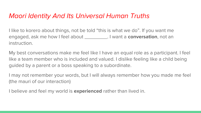## *Maori Identity And Its Universal Human Truths*

I like to korero about things, not be told "this is what we do". If you want me engaged, ask me how I feel about \_\_\_\_\_\_\_\_. I want a **conversation**, not an instruction.

My best conversations make me feel like I have an equal role as a participant. I feel like a team member who is included and valued. I dislike feeling like a child being guided by a parent or a boss speaking to a subordinate.

I may not remember your words, but I will always remember how you made me feel (the mauri of our interaction)

I believe and feel my world is **experienced** rather than lived in.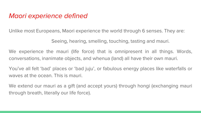## *Maori experience defined*

Unlike most Europeans, Maori experience the world through 6 senses. They are:

Seeing, hearing, smelling, touching, tasting and mauri.

We experience the mauri (life force) that is omnipresent in all things. Words, conversations, inanimate objects, and whenua (land) all have their own mauri.

You've all felt 'bad' places or 'bad juju', or fabulous energy places like waterfalls or waves at the ocean. This is mauri.

We extend our mauri as a gift (and accept yours) through hongi (exchanging mauri through breath, literally our life force).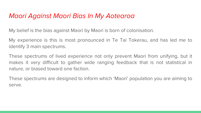## *Maori Against Maori Bias In My Aotearoa*

My belief is the bias against Maori by Maori is born of colonisation.

My experience is this is most pronounced in Te Tai Tokerau, and has led me to identify 3 main spectrums.

These spectrums of lived experience not only prevent Maori from unifying, but it makes it very difficult to gather wide ranging feedback that is not statistical in nature, or biased toward one faction.

These spectrums are designed to inform which 'Maori' population you are aiming to serve.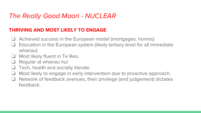## *The Really Good Maori - NUCLEAR*

#### **THRIVING AND MOST LIKELY TO ENGAGE**

- ❏ Achieved success in the European model (mortgages, homes)
- ❏ Education in the European system (likely tertiary level for all immediate whanau)
- Most likely fluent in Te Reo.
- ❏ Regular at whanau hui
- ❏ Tech, health and socially literate.
- ❏ Most likely to engage in early intervention due to proactive approach.
- ❏ Network of feedback avenues, their privilege (and judgement) dictates feedback.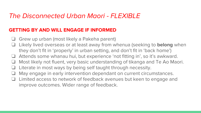## *The Disconnected Urban Maori - FLEXIBLE*

#### **GETTING BY AND WILL ENGAGE IF INFORMED**

- ❏ Grew up urban (most likely a Pakeha parent)
- ❏ Likely lived overseas or at least away from whenua (seeking to **belong** when they don't fit in 'properly' in urban setting, and don't fit in 'back home')
- ❏ Attends some whanau hui, but experience 'not fitting in', so it's awkward.
- Most likely not fluent, very basic understanding of tikanga and Te Ao Maori.
- Literate in most ways by being self taught through necessity.
- May engage in early intervention dependant on current circumstances.
- ❏ Limited access to network of feedback avenues but keen to engage and improve outcomes. Wider range of feedback.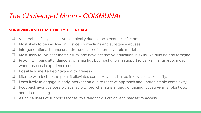## *The Challenged Maori - COMMUNAL*

#### **SURVIVING AND LEAST LIKELY TO ENGAGE**

- ❏ Vulnerable lifestyle,massive complexity due to socio economic factors
- ❏ Most likely to be involved In Justice, Corrections and substance abuses.
- ❏ Intergenerational trauma unaddressed, lack of alternative role models.
- ❏ Most likely to live near marae / rural and have alternative education in skills like hunting and foraging
- ❏ Proximity means attendance at whanau hui, but most often in support roles (kai, hangi prep, areas where practical experience counts)
- ❏ Possibly some Te Reo / tikanga awareness.
- ❏ Literate with tech to the point it alleviates complexity, but limited in device accessibility.
- ❏ Least likely to engage in early intervention due to reactive approach and unpredictable complexity.
- ❏ Feedback avenues possibly available where whanau is already engaging, but survival is relentless, and all consuming.
- ❏ As acute users of support services, this feedback is critical and hardest to access.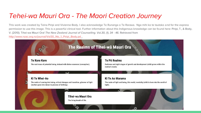## *Tehei-wa Mauri Ora - The Maori Creation Journey*

This work was created by Teina Piripi and Vivienne Body. I also acknowledge Te Runanga o Te Rarawa. Nga mihi ko te tautoko and for the express permission to use this image. This is a powerful clinical tool. Further information about this Indigenous knowledge can be found here: Piripi, T., & Body, V. (2010). Tihei-wa Mauri Ora! *The New Zealand Journal of Counselling. Vol.30, (1), 34 - 46.* Retrieved from [http://www.nzac.org.nz/journal/Vol30\\_No\\_1\\_Piripi\\_Body.pd](http://www.nzac.org.nz/journal/Vol30_No_1_Piripi_Body.pd) .

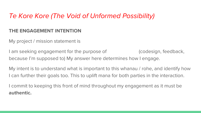## *Te Kore Kore (The Void of Unformed Possibility)*

#### **THE ENGAGEMENT INTENTION**

My project / mission statement is

I am seeking engagement for the purpose of  $\qquad \qquad$  (codesign, feedback, because I'm supposed to) My answer here determines how I engage.

My intent is to understand what is important to this whanau / rohe, and identify how I can further their goals too. This to uplift mana for both parties in the interaction.

I commit to keeping this front of mind throughout my engagement as it must be **authentic.**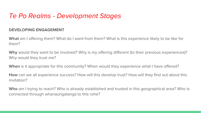## *Te Po Realms - Development Stages*

#### **DEVELOPING ENGAGEMENT**

**What** am I offering them? What do I want from them? What is this experience likely to be like for them?

**Why** would they want to be involved? Why is my offering different (to their previous experiences)? Why would they trust me?

**When** is it appropriate for this community? When would they experience what I have offered?

**How** can we all experience success? How will this develop trust? How will they find out about this invitation?

**Who** am I trying to reach? Who is already established and trusted in this geographical area? Who is connected through whanaungatanga to this rohe?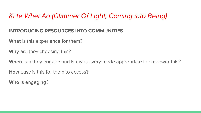## *Ki te Whei Ao (Glimmer Of Light, Coming into Being)*

#### **INTRODUCING RESOURCES INTO COMMUNITIES**

**What** is this experience for them?

**Why** are they choosing this?

**When** can they engage and is my delivery mode appropriate to empower this?

**How** easy is this for them to access?

**Who** is engaging?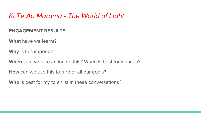## *Ki Te Ao Marama - The World of Light*

#### **ENGAGEMENT RESULTS**

**What** have we learnt?

**Why** is this important?

**When** can we take action on this? When is best for whanau?

**How** can we use this to further all our goals?

**Who** is best for my to enlist in these conversations?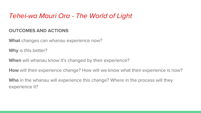## *Tehei-wa Mauri Ora - The World of Light*

#### **OUTCOMES AND ACTIONS**

**What** changes can whanau experience now?

**Why** is this better?

**When** will whanau know it's changed by their experience?

**How** will their experience change? How will we know what their experience is now?

**Who** in the whanau will experience this change? Where in the process will they experience it?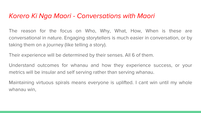## *Korero Ki Nga Maori - Conversations with Maori*

The reason for the focus on Who, Why, What, How, When is these are conversational in nature. Engaging storytellers is much easier in conversation, or by taking them on a journey (like telling a story).

Their experience will be determined by their senses. All 6 of them.

Understand outcomes for whanau and how they experience success, or your metrics will be insular and self serving rather than serving whanau.

Maintaining virtuous spirals means everyone is uplifted. I cant win until my whole whanau win,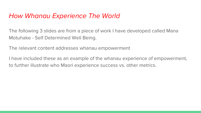## *How Whanau Experience The World*

The following 3 slides are from a piece of work I have developed called Mana Motuhake - Self Determined Well Being.

The relevant content addresses whanau empowerment

I have included these as an example of the whanau experience of empowerment, to further illustrate who Maori experience success vs. other metrics.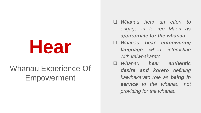# **Hear**

# Whanau Experience Of Empowerment

- ❏ *Whanau hear an effort to engage in te reo Maori as appropriate for the whanau*
- ❏ *Whanau hear empowering language when interacting with kaiwhakarato*
- ❏ *Whanau hear authentic desire and korero defining kaiwhakarato role as being in service to the whanau, not providing for the whanau*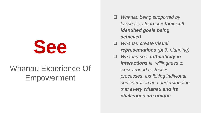

## Whanau Experience Of Empowerment

- ❏ *Whanau being supported by kaiwhakarato to see their self identified goals being achieved*
- ❏ *Whanau create visual representations (path planning)*
- ❏ *Whanau see authenticity in interactions ie. willingness to work around restrictive processes, exhibiting individual consideration and understanding that every whanau and its challenges are unique*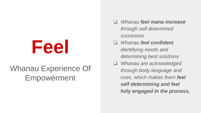# **Feel**

# Whanau Experience Of Empowerment

- ❏ *Whanau feel mana increase through self determined successes*
- ❏ *Whanau feel confident identifying needs and determining best solutions*
- ❏ *Whanau are acknowledged through body language and cues, which makes them feel self determining and feel fully engaged in the process,*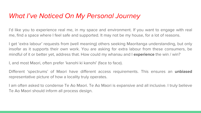## *What I've Noticed On My Personal Journey*

I'd like you to experience real me, in my space and environment. If you want to engage with real me, find a space where I feel safe and supported. It may not be my house, for a lot of reasons.

I get 'extra labour' requests from (well meaning) others seeking Maoritanga understanding, but only insofar as it supports their own work. You are asking for extra labour from these consumers, be mindful of it or better yet, address that. How could my whanau and I **experience** the win / win?

I, and most Maori, often prefer 'kanohi ki kanohi' (face to face).

Different 'spectrums' of Maori have different access requirements. This ensures an **unbiased** representative picture of how a locality truly operates.

I am often asked to condense Te Ao Maori. Te Ao Maori is expansive and all inclusive. I truly believe Te Ao Maori should inform all process design.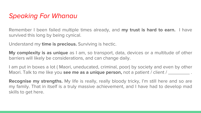## *Speaking For Whanau*

Remember I been failed multiple times already, and **my trust is hard to earn.** I have survived this long by being cynical.

Understand my **time is precious.** Surviving is hectic.

**My complexity is as unique** as I am, so transport, data, devices or a multitude of other barriers will likely be considerations, and can change daily.

I am put in boxes a lot ( Maori, uneducated, criminal, poor) by society and even by other Maori. Talk to me like you **see me as a unique person,** not a patient / client / \_\_\_\_\_\_\_\_ .

**Recognise my strengths.** My life is really, really bloody tricky, I'm still here and so are my family. That in itself is a truly massive achievement, and I have had to develop mad skills to get here.